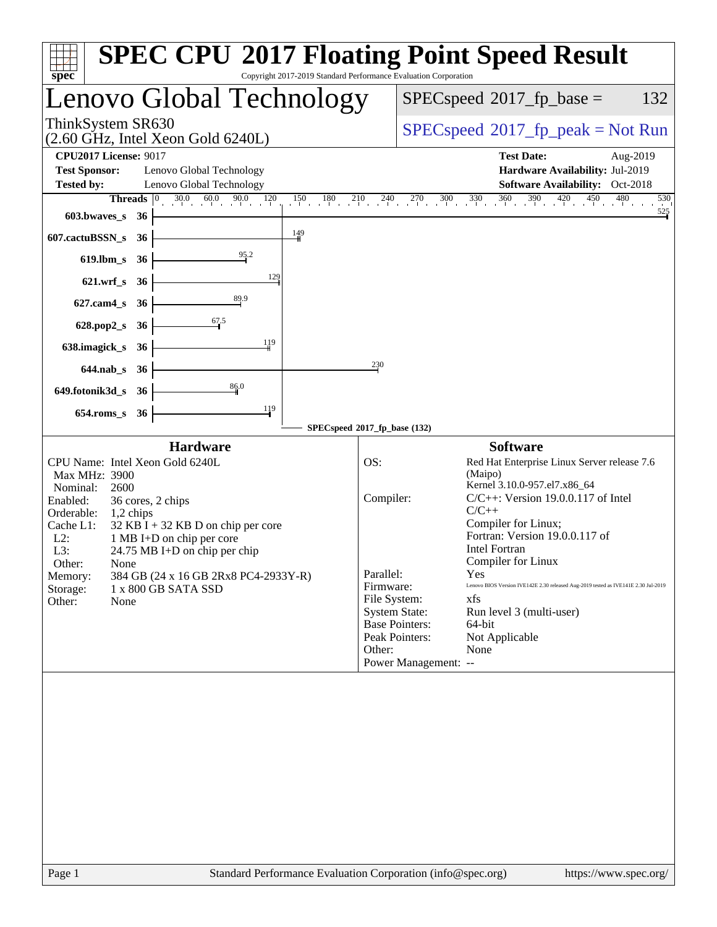| <b>SPEC CPU®2017 Floating Point Speed Result</b><br>Copyright 2017-2019 Standard Performance Evaluation Corporation<br>$spec^*$                                                                                                                                                                                                                                                                                                              |                                                                                                                                                                                                                                                                                                                                                                                                                                                                                                                                                                                            |  |  |  |
|----------------------------------------------------------------------------------------------------------------------------------------------------------------------------------------------------------------------------------------------------------------------------------------------------------------------------------------------------------------------------------------------------------------------------------------------|--------------------------------------------------------------------------------------------------------------------------------------------------------------------------------------------------------------------------------------------------------------------------------------------------------------------------------------------------------------------------------------------------------------------------------------------------------------------------------------------------------------------------------------------------------------------------------------------|--|--|--|
| Lenovo Global Technology                                                                                                                                                                                                                                                                                                                                                                                                                     | $SPEC speed^{\circ}2017$ _fp_base =<br>132                                                                                                                                                                                                                                                                                                                                                                                                                                                                                                                                                 |  |  |  |
| ThinkSystem SR630<br>$(2.60 \text{ GHz}, \text{Intel Xeon Gold } 6240L)$                                                                                                                                                                                                                                                                                                                                                                     | $SPEC speed^{\circ}2017\_fp\_peak = Not Run$                                                                                                                                                                                                                                                                                                                                                                                                                                                                                                                                               |  |  |  |
| <b>CPU2017 License: 9017</b><br><b>Test Sponsor:</b><br>Lenovo Global Technology<br><b>Tested by:</b><br>Lenovo Global Technology                                                                                                                                                                                                                                                                                                            | <b>Test Date:</b><br>Aug-2019<br>Hardware Availability: Jul-2019<br><b>Software Availability:</b> Oct-2018                                                                                                                                                                                                                                                                                                                                                                                                                                                                                 |  |  |  |
| <b>Threads</b><br>$ 0\rangle$<br>603.bwaves_s<br>- 36<br>$\frac{149}{1}$<br>607.cactuBSSN_s<br>- 36<br>619.lbm_s<br>36<br>129<br>$621.wrf$ <sub>S</sub><br>- 36<br>$627$ .cam $4_s$<br>- 36<br>$\frac{67.5}{9}$<br>628.pop2_s<br>- 36<br>119<br>638.imagick_s<br>- 36<br>230<br>$644$ .nab_s<br>- 36                                                                                                                                         | $30.0$ $60.0$ $90.0$ $120$ $150$ $180$ $210$ $240$ $270$ $300$ $330$ $360$ $390$ $420$ $450$ $480$<br>530<br>$\frac{525}{5}$                                                                                                                                                                                                                                                                                                                                                                                                                                                               |  |  |  |
| 86.0<br>649.fotonik3d_s 36<br>119<br>$654$ .roms_s<br>36<br>SPECspeed®2017_fp_base (132)                                                                                                                                                                                                                                                                                                                                                     |                                                                                                                                                                                                                                                                                                                                                                                                                                                                                                                                                                                            |  |  |  |
| <b>Hardware</b><br>CPU Name: Intel Xeon Gold 6240L<br>OS:<br>Max MHz: 3900<br>Nominal:<br>2600<br>Enabled:<br>36 cores, 2 chips<br>Orderable:<br>1,2 chips<br>Cache L1:<br>$32$ KB I + 32 KB D on chip per core<br>$L2$ :<br>1 MB I+D on chip per core<br>L3:<br>$24.75 \text{ MB I+D}$ on chip per chip<br>Other:<br>None<br>384 GB (24 x 16 GB 2Rx8 PC4-2933Y-R)<br>Memory:<br>Storage:<br>1 x 800 GB SATA SSD<br>Other:<br>None<br>Other: | <b>Software</b><br>Red Hat Enterprise Linux Server release 7.6<br>(Maipo)<br>Kernel 3.10.0-957.el7.x86_64<br>$C/C++$ : Version 19.0.0.117 of Intel<br>Compiler:<br>$C/C++$<br>Compiler for Linux;<br>Fortran: Version 19.0.0.117 of<br><b>Intel Fortran</b><br>Compiler for Linux<br>Parallel:<br>Yes<br>Lenovo BIOS Version IVE142E 2.30 released Aug-2019 tested as IVE141E 2.30 Jul-2019<br>Firmware:<br>File System:<br>xfs<br><b>System State:</b><br>Run level 3 (multi-user)<br><b>Base Pointers:</b><br>64-bit<br>Peak Pointers:<br>Not Applicable<br>None<br>Power Management: -- |  |  |  |
| Standard Performance Evaluation Corporation (info@spec.org)<br>Page 1                                                                                                                                                                                                                                                                                                                                                                        | https://www.spec.org/                                                                                                                                                                                                                                                                                                                                                                                                                                                                                                                                                                      |  |  |  |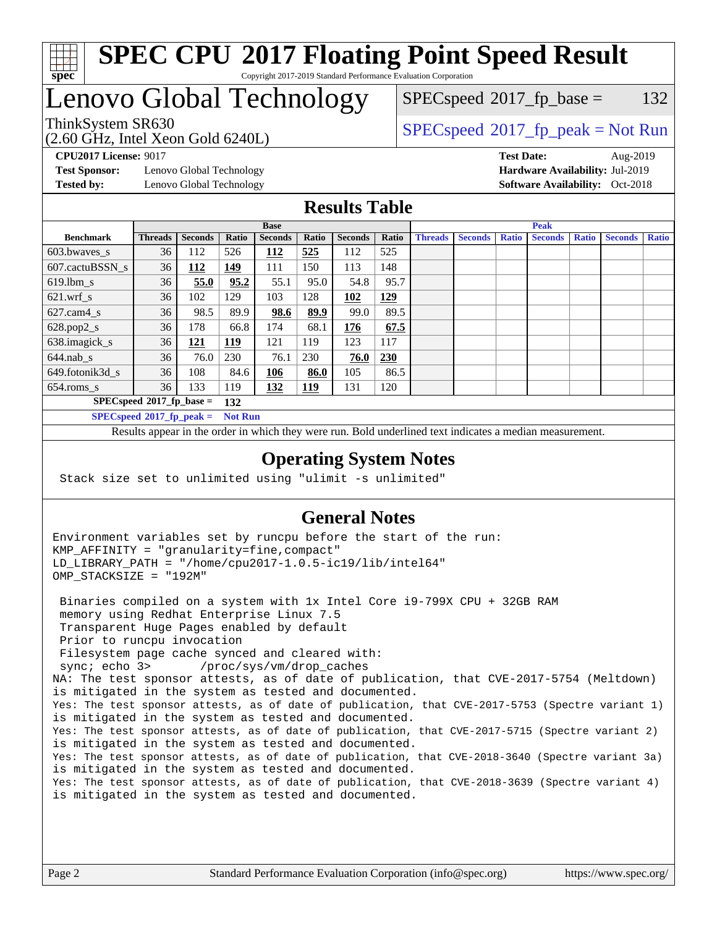

#### **[SPEC CPU](http://www.spec.org/auto/cpu2017/Docs/result-fields.html#SPECCPU2017FloatingPointSpeedResult)[2017 Floating Point Speed Result](http://www.spec.org/auto/cpu2017/Docs/result-fields.html#SPECCPU2017FloatingPointSpeedResult)** Copyright 2017-2019 Standard Performance Evaluation Corporation

## Lenovo Global Technology

(2.60 GHz, Intel Xeon Gold 6240L) ThinkSystem SR630<br>  $SPEC speed^{\circ}2017$  [p\_peak = Not Run

 $SPEC speed^{\circ}2017\_fp\_base = 132$ 

**[Test Sponsor:](http://www.spec.org/auto/cpu2017/Docs/result-fields.html#TestSponsor)** Lenovo Global Technology **[Hardware Availability:](http://www.spec.org/auto/cpu2017/Docs/result-fields.html#HardwareAvailability)** Jul-2019 **[Tested by:](http://www.spec.org/auto/cpu2017/Docs/result-fields.html#Testedby)** Lenovo Global Technology **[Software Availability:](http://www.spec.org/auto/cpu2017/Docs/result-fields.html#SoftwareAvailability)** Oct-2018

**[CPU2017 License:](http://www.spec.org/auto/cpu2017/Docs/result-fields.html#CPU2017License)** 9017 **[Test Date:](http://www.spec.org/auto/cpu2017/Docs/result-fields.html#TestDate)** Aug-2019

#### **[Results Table](http://www.spec.org/auto/cpu2017/Docs/result-fields.html#ResultsTable)**

|                                    | <b>Base</b>                |                |                |                |            |                | <b>Peak</b> |                |                |              |                |              |                |              |
|------------------------------------|----------------------------|----------------|----------------|----------------|------------|----------------|-------------|----------------|----------------|--------------|----------------|--------------|----------------|--------------|
| <b>Benchmark</b>                   | <b>Threads</b>             | <b>Seconds</b> | Ratio          | <b>Seconds</b> | Ratio      | <b>Seconds</b> | Ratio       | <b>Threads</b> | <b>Seconds</b> | <b>Ratio</b> | <b>Seconds</b> | <b>Ratio</b> | <b>Seconds</b> | <b>Ratio</b> |
| 603.bwayes_s                       | 36                         | 112            | 526            | 112            | 525        | 112            | 525         |                |                |              |                |              |                |              |
| 607.cactuBSSN s                    | 36                         | 112            | 149            | 111            | 150        | 113            | 148         |                |                |              |                |              |                |              |
| $619.$ lbm s                       | 36                         | 55.0           | 95.2           | 55.1           | 95.0       | 54.8           | 95.7        |                |                |              |                |              |                |              |
| $621.wrf$ s                        | 36                         | 102            | 129            | 103            | 128        | 102            | 129         |                |                |              |                |              |                |              |
| $627$ .cam4 s                      | 36                         | 98.5           | 89.9           | 98.6           | 89.9       | 99.0           | 89.5        |                |                |              |                |              |                |              |
| $628.pop2_s$                       | 36                         | 178            | 66.8           | 174            | 68.1       | 176            | 67.5        |                |                |              |                |              |                |              |
| 638.imagick_s                      | 36                         | 121            | 119            | 121            | 119        | 123            | 117         |                |                |              |                |              |                |              |
| $644$ .nab s                       | 36                         | 76.0           | 230            | 76.1           | 230        | 76.0           | <b>230</b>  |                |                |              |                |              |                |              |
| 649.fotonik3d s                    | 36                         | 108            | 84.6           | 106            | 86.0       | 105            | 86.5        |                |                |              |                |              |                |              |
| $654$ .roms_s                      | 36                         | 133            | 119            | 132            | <b>119</b> | 131            | 120         |                |                |              |                |              |                |              |
| $SPECspeed*2017_fp\_base =$<br>132 |                            |                |                |                |            |                |             |                |                |              |                |              |                |              |
|                                    | $SPECspeed*2017$ fp peak = |                | <b>Not Run</b> |                |            |                |             |                |                |              |                |              |                |              |

Results appear in the [order in which they were run.](http://www.spec.org/auto/cpu2017/Docs/result-fields.html#RunOrder) Bold underlined text [indicates a median measurement](http://www.spec.org/auto/cpu2017/Docs/result-fields.html#Median).

#### **[Operating System Notes](http://www.spec.org/auto/cpu2017/Docs/result-fields.html#OperatingSystemNotes)**

Stack size set to unlimited using "ulimit -s unlimited"

### **[General Notes](http://www.spec.org/auto/cpu2017/Docs/result-fields.html#GeneralNotes)**

Environment variables set by runcpu before the start of the run: KMP\_AFFINITY = "granularity=fine,compact" LD\_LIBRARY\_PATH = "/home/cpu2017-1.0.5-ic19/lib/intel64" OMP\_STACKSIZE = "192M"

 Binaries compiled on a system with 1x Intel Core i9-799X CPU + 32GB RAM memory using Redhat Enterprise Linux 7.5 Transparent Huge Pages enabled by default Prior to runcpu invocation Filesystem page cache synced and cleared with: sync; echo 3> /proc/sys/vm/drop\_caches NA: The test sponsor attests, as of date of publication, that CVE-2017-5754 (Meltdown) is mitigated in the system as tested and documented. Yes: The test sponsor attests, as of date of publication, that CVE-2017-5753 (Spectre variant 1) is mitigated in the system as tested and documented. Yes: The test sponsor attests, as of date of publication, that CVE-2017-5715 (Spectre variant 2) is mitigated in the system as tested and documented. Yes: The test sponsor attests, as of date of publication, that CVE-2018-3640 (Spectre variant 3a) is mitigated in the system as tested and documented. Yes: The test sponsor attests, as of date of publication, that CVE-2018-3639 (Spectre variant 4) is mitigated in the system as tested and documented.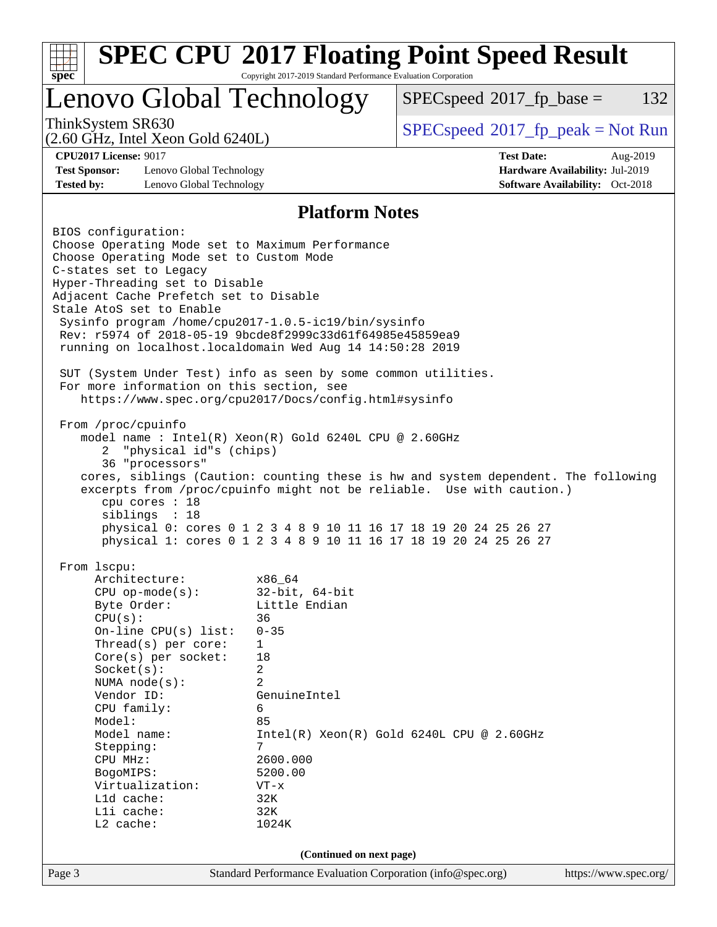| Lenovo Global Technology                                                                           |                                  | $SPEC speed^{\circ}2017$ _fp_base =                                                | 132 |  |  |
|----------------------------------------------------------------------------------------------------|----------------------------------|------------------------------------------------------------------------------------|-----|--|--|
| ThinkSystem SR630<br>$(2.60 \text{ GHz}, \text{Intel Xeon Gold } 6240L)$                           |                                  | $SPEC speed^{\circ}2017\_fp\_peak = Not Run$                                       |     |  |  |
| <b>CPU2017 License: 9017</b>                                                                       | <b>Test Date:</b><br>Aug-2019    |                                                                                    |     |  |  |
| <b>Test Sponsor:</b><br>Lenovo Global Technology<br>Hardware Availability: Jul-2019                |                                  |                                                                                    |     |  |  |
| <b>Tested by:</b><br>Lenovo Global Technology                                                      |                                  | <b>Software Availability:</b> Oct-2018                                             |     |  |  |
|                                                                                                    | <b>Platform Notes</b>            |                                                                                    |     |  |  |
| BIOS configuration:                                                                                |                                  |                                                                                    |     |  |  |
| Choose Operating Mode set to Maximum Performance<br>Choose Operating Mode set to Custom Mode       |                                  |                                                                                    |     |  |  |
| C-states set to Legacy                                                                             |                                  |                                                                                    |     |  |  |
| Hyper-Threading set to Disable                                                                     |                                  |                                                                                    |     |  |  |
| Adjacent Cache Prefetch set to Disable                                                             |                                  |                                                                                    |     |  |  |
| Stale AtoS set to Enable<br>Sysinfo program /home/cpu2017-1.0.5-ic19/bin/sysinfo                   |                                  |                                                                                    |     |  |  |
| Rev: r5974 of 2018-05-19 9bcde8f2999c33d61f64985e45859ea9                                          |                                  |                                                                                    |     |  |  |
| running on localhost.localdomain Wed Aug 14 14:50:28 2019                                          |                                  |                                                                                    |     |  |  |
|                                                                                                    |                                  |                                                                                    |     |  |  |
| SUT (System Under Test) info as seen by some common utilities.                                     |                                  |                                                                                    |     |  |  |
| For more information on this section, see<br>https://www.spec.org/cpu2017/Docs/config.html#sysinfo |                                  |                                                                                    |     |  |  |
|                                                                                                    |                                  |                                                                                    |     |  |  |
| From /proc/cpuinfo                                                                                 |                                  |                                                                                    |     |  |  |
| model name: $Intel(R)$ Xeon $(R)$ Gold 6240L CPU @ 2.60GHz                                         |                                  |                                                                                    |     |  |  |
| "physical id"s (chips)<br>2<br>36 "processors"                                                     |                                  |                                                                                    |     |  |  |
|                                                                                                    |                                  | cores, siblings (Caution: counting these is hw and system dependent. The following |     |  |  |
|                                                                                                    |                                  | excerpts from /proc/cpuinfo might not be reliable. Use with caution.)              |     |  |  |
| cpu cores : 18                                                                                     |                                  |                                                                                    |     |  |  |
| siblings : 18                                                                                      |                                  | physical 0: cores 0 1 2 3 4 8 9 10 11 16 17 18 19 20 24 25 26 27                   |     |  |  |
|                                                                                                    |                                  | physical 1: cores 0 1 2 3 4 8 9 10 11 16 17 18 19 20 24 25 26 27                   |     |  |  |
|                                                                                                    |                                  |                                                                                    |     |  |  |
| From lscpu:<br>Architecture:                                                                       | x86 64                           |                                                                                    |     |  |  |
| $CPU$ op-mode( $s$ ):                                                                              | $32$ -bit, $64$ -bit             |                                                                                    |     |  |  |
| Byte Order:                                                                                        | Little Endian                    |                                                                                    |     |  |  |
| 36<br>CPU(s):                                                                                      |                                  |                                                                                    |     |  |  |
|                                                                                                    | $0 - 35$<br>On-line CPU(s) list: |                                                                                    |     |  |  |
| Thread( $s$ ) per core:                                                                            |                                  |                                                                                    |     |  |  |
|                                                                                                    | 1                                |                                                                                    |     |  |  |
| Core(s) per socket:<br>Socket(s):                                                                  | 18<br>2                          |                                                                                    |     |  |  |
| NUMA $node(s)$ :                                                                                   | 2                                |                                                                                    |     |  |  |
| Vendor ID:                                                                                         | GenuineIntel                     |                                                                                    |     |  |  |
| CPU family:                                                                                        | 6                                |                                                                                    |     |  |  |
| Model:<br>Model name:                                                                              | 85                               | $Intel(R) Xeon(R) Gold 6240L CPU @ 2.60GHz$                                        |     |  |  |
| Stepping:                                                                                          | 7                                |                                                                                    |     |  |  |
| CPU MHz:                                                                                           | 2600.000                         |                                                                                    |     |  |  |
| BogoMIPS:                                                                                          | 5200.00                          |                                                                                    |     |  |  |
| Virtualization:                                                                                    | $VT - x$                         |                                                                                    |     |  |  |
| L1d cache:<br>Lli cache:                                                                           | 32K<br>32K                       |                                                                                    |     |  |  |
| L2 cache:                                                                                          | 1024K                            |                                                                                    |     |  |  |
|                                                                                                    | (Continued on next page)         |                                                                                    |     |  |  |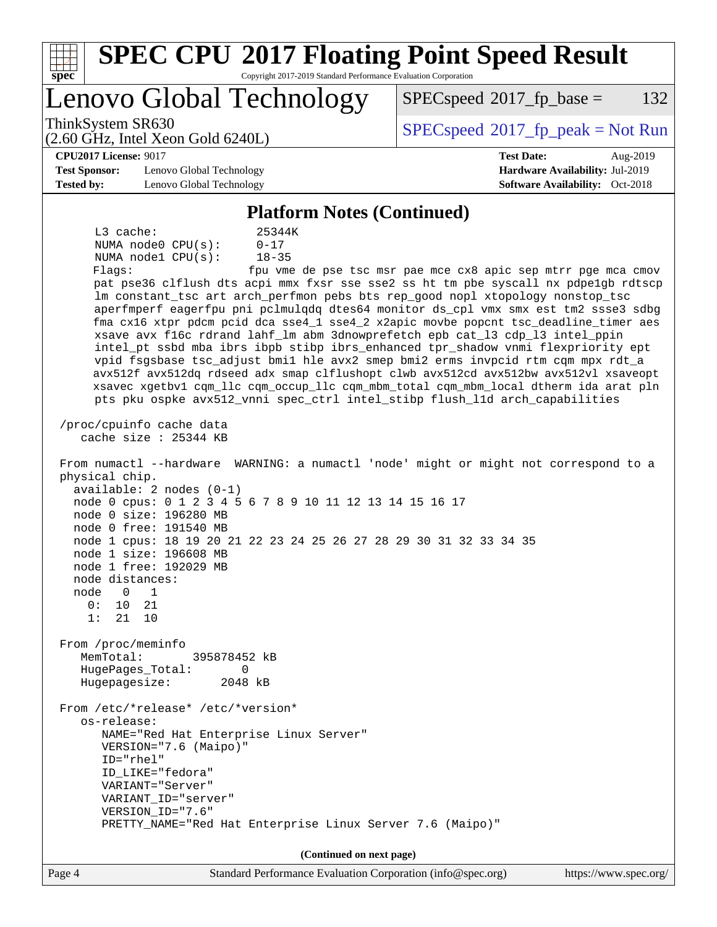| <b>SPEC CPU®2017 Floating Point Speed Result</b><br>Copyright 2017-2019 Standard Performance Evaluation Corporation<br>spec                                                                                                                                                                                                                                                                                                                                                                                                                                                                                                                                                                                                                                                                                                                                                                                                                                                                                                                                                                                                                                                                                                                                                                                                                                                                                                                                                                                                                                                                                                                                                                                                                                                                                                                                                                                                                                          |                                                                                                            |
|----------------------------------------------------------------------------------------------------------------------------------------------------------------------------------------------------------------------------------------------------------------------------------------------------------------------------------------------------------------------------------------------------------------------------------------------------------------------------------------------------------------------------------------------------------------------------------------------------------------------------------------------------------------------------------------------------------------------------------------------------------------------------------------------------------------------------------------------------------------------------------------------------------------------------------------------------------------------------------------------------------------------------------------------------------------------------------------------------------------------------------------------------------------------------------------------------------------------------------------------------------------------------------------------------------------------------------------------------------------------------------------------------------------------------------------------------------------------------------------------------------------------------------------------------------------------------------------------------------------------------------------------------------------------------------------------------------------------------------------------------------------------------------------------------------------------------------------------------------------------------------------------------------------------------------------------------------------------|------------------------------------------------------------------------------------------------------------|
| Lenovo Global Technology                                                                                                                                                                                                                                                                                                                                                                                                                                                                                                                                                                                                                                                                                                                                                                                                                                                                                                                                                                                                                                                                                                                                                                                                                                                                                                                                                                                                                                                                                                                                                                                                                                                                                                                                                                                                                                                                                                                                             | 132<br>$SPEC speed^{\circ}2017$ _fp_base =                                                                 |
| ThinkSystem SR630<br>$(2.60 \text{ GHz}, \text{Intel Xeon Gold } 6240L)$                                                                                                                                                                                                                                                                                                                                                                                                                                                                                                                                                                                                                                                                                                                                                                                                                                                                                                                                                                                                                                                                                                                                                                                                                                                                                                                                                                                                                                                                                                                                                                                                                                                                                                                                                                                                                                                                                             | $SPEC speed^{\circ}2017\_fp\_peak = Not Run$                                                               |
| <b>CPU2017 License: 9017</b><br><b>Test Sponsor:</b><br>Lenovo Global Technology<br><b>Tested by:</b><br>Lenovo Global Technology                                                                                                                                                                                                                                                                                                                                                                                                                                                                                                                                                                                                                                                                                                                                                                                                                                                                                                                                                                                                                                                                                                                                                                                                                                                                                                                                                                                                                                                                                                                                                                                                                                                                                                                                                                                                                                    | <b>Test Date:</b><br>Aug-2019<br>Hardware Availability: Jul-2019<br><b>Software Availability:</b> Oct-2018 |
| <b>Platform Notes (Continued)</b><br>L3 cache:<br>25344K<br>NUMA node0 CPU(s):<br>$0 - 17$<br>NUMA nodel CPU(s):<br>$18 - 35$<br>Flags:<br>pat pse36 clflush dts acpi mmx fxsr sse sse2 ss ht tm pbe syscall nx pdpelgb rdtscp<br>lm constant_tsc art arch_perfmon pebs bts rep_good nopl xtopology nonstop_tsc<br>aperfmperf eagerfpu pni pclmulqdq dtes64 monitor ds_cpl vmx smx est tm2 ssse3 sdbg<br>fma cx16 xtpr pdcm pcid dca sse4_1 sse4_2 x2apic movbe popcnt tsc_deadline_timer aes<br>xsave avx f16c rdrand lahf_lm abm 3dnowprefetch epb cat_13 cdp_13 intel_ppin<br>intel_pt ssbd mba ibrs ibpb stibp ibrs_enhanced tpr_shadow vnmi flexpriority ept<br>vpid fsgsbase tsc_adjust bmil hle avx2 smep bmi2 erms invpcid rtm cqm mpx rdt_a<br>avx512f avx512dq rdseed adx smap clflushopt clwb avx512cd avx512bw avx512vl xsaveopt<br>xsavec xgetbv1 cqm_llc cqm_occup_llc cqm_mbm_total cqm_mbm_local dtherm ida arat pln<br>pts pku ospke avx512_vnni spec_ctrl intel_stibp flush_lld arch_capabilities<br>/proc/cpuinfo cache data<br>cache size : 25344 KB<br>From numactl --hardware WARNING: a numactl 'node' might or might not correspond to a<br>physical chip.<br>$available: 2 nodes (0-1)$<br>node 0 cpus: 0 1 2 3 4 5 6 7 8 9 10 11 12 13 14 15 16 17<br>node 0 size: 196280 MB<br>node 0 free: 191540 MB<br>node 1 cpus: 18 19 20 21 22 23 24 25 26 27 28 29 30 31 32 33 34 35<br>node 1 size: 196608 MB<br>node 1 free: 192029 MB<br>node distances:<br>node<br>$\overline{0}$<br>$\overline{\phantom{a}}$<br>0: 10 21<br>1: 21 10<br>From /proc/meminfo<br>MemTotal:<br>395878452 kB<br>$\mathbf 0$<br>HugePages_Total:<br>Hugepagesize:<br>2048 kB<br>From /etc/*release* /etc/*version*<br>os-release:<br>NAME="Red Hat Enterprise Linux Server"<br>VERSION="7.6 (Maipo)"<br>$ID="rhe1"$<br>ID LIKE="fedora"<br>VARIANT="Server"<br>VARIANT ID="server"<br>VERSION_ID="7.6"<br>PRETTY_NAME="Red Hat Enterprise Linux Server 7.6 (Maipo)" | fpu vme de pse tsc msr pae mce cx8 apic sep mtrr pge mca cmov                                              |
| (Continued on next page)                                                                                                                                                                                                                                                                                                                                                                                                                                                                                                                                                                                                                                                                                                                                                                                                                                                                                                                                                                                                                                                                                                                                                                                                                                                                                                                                                                                                                                                                                                                                                                                                                                                                                                                                                                                                                                                                                                                                             |                                                                                                            |
|                                                                                                                                                                                                                                                                                                                                                                                                                                                                                                                                                                                                                                                                                                                                                                                                                                                                                                                                                                                                                                                                                                                                                                                                                                                                                                                                                                                                                                                                                                                                                                                                                                                                                                                                                                                                                                                                                                                                                                      |                                                                                                            |

Page 4 Standard Performance Evaluation Corporation [\(info@spec.org\)](mailto:info@spec.org) <https://www.spec.org/>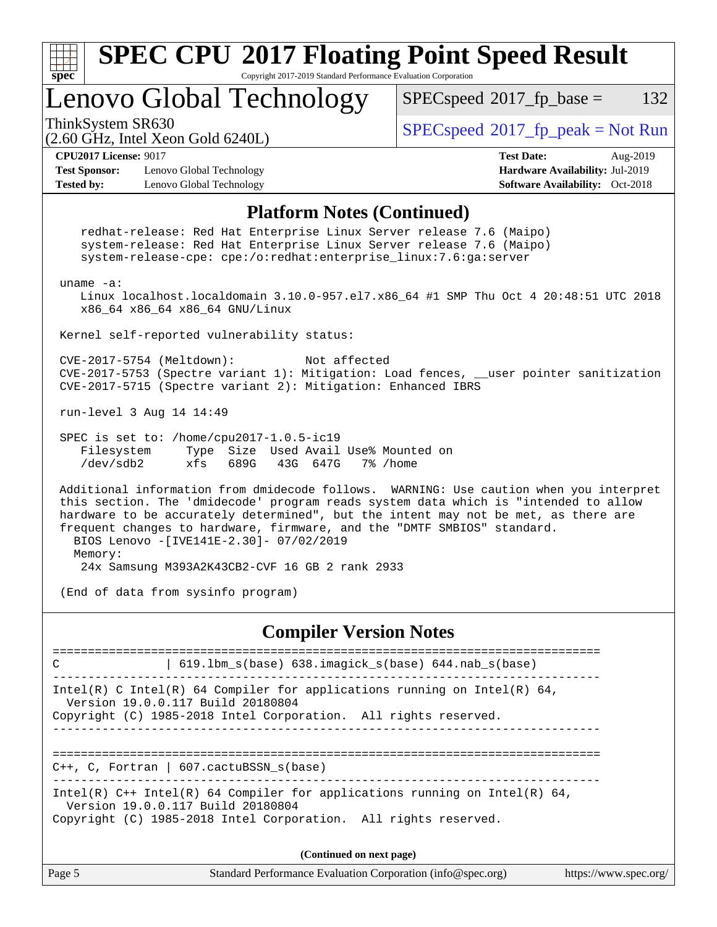| <b>SPEC CPU®2017 Floating Point Speed Result</b><br>Copyright 2017-2019 Standard Performance Evaluation Corporation<br>$spec^*$                                                                                                                                                                                                                                                                                                                        |                                            |  |  |  |  |
|--------------------------------------------------------------------------------------------------------------------------------------------------------------------------------------------------------------------------------------------------------------------------------------------------------------------------------------------------------------------------------------------------------------------------------------------------------|--------------------------------------------|--|--|--|--|
| Lenovo Global Technology                                                                                                                                                                                                                                                                                                                                                                                                                               | 132<br>$SPEC speed^{\circ}2017$ _fp_base = |  |  |  |  |
| ThinkSystem SR630<br>$(2.60 \text{ GHz}, \text{Intel Xeon Gold } 6240L)$                                                                                                                                                                                                                                                                                                                                                                               | $SPEC speed@2017_fp\_peak = Not Run$       |  |  |  |  |
| <b>CPU2017 License: 9017</b><br><b>Test Date:</b><br>Aug-2019<br><b>Test Sponsor:</b><br>Hardware Availability: Jul-2019<br>Lenovo Global Technology<br><b>Software Availability:</b> Oct-2018<br><b>Tested by:</b><br>Lenovo Global Technology                                                                                                                                                                                                        |                                            |  |  |  |  |
| <b>Platform Notes (Continued)</b>                                                                                                                                                                                                                                                                                                                                                                                                                      |                                            |  |  |  |  |
| redhat-release: Red Hat Enterprise Linux Server release 7.6 (Maipo)<br>system-release: Red Hat Enterprise Linux Server release 7.6 (Maipo)<br>system-release-cpe: cpe:/o:redhat:enterprise_linux:7.6:ga:server<br>uname $-a$ :<br>Linux localhost.localdomain 3.10.0-957.el7.x86_64 #1 SMP Thu Oct 4 20:48:51 UTC 2018<br>x86_64 x86_64 x86_64 GNU/Linux                                                                                               |                                            |  |  |  |  |
| Kernel self-reported vulnerability status:                                                                                                                                                                                                                                                                                                                                                                                                             |                                            |  |  |  |  |
| CVE-2017-5754 (Meltdown):<br>Not affected<br>CVE-2017-5753 (Spectre variant 1): Mitigation: Load fences, __user pointer sanitization<br>CVE-2017-5715 (Spectre variant 2): Mitigation: Enhanced IBRS                                                                                                                                                                                                                                                   |                                            |  |  |  |  |
| run-level 3 Aug 14 14:49                                                                                                                                                                                                                                                                                                                                                                                                                               |                                            |  |  |  |  |
| SPEC is set to: /home/cpu2017-1.0.5-ic19<br>Filesystem<br>Type Size Used Avail Use% Mounted on<br>/dev/sdb2<br>689G<br>43G 647G<br>xfs<br>7% /home                                                                                                                                                                                                                                                                                                     |                                            |  |  |  |  |
| Additional information from dmidecode follows. WARNING: Use caution when you interpret<br>this section. The 'dmidecode' program reads system data which is "intended to allow<br>hardware to be accurately determined", but the intent may not be met, as there are<br>frequent changes to hardware, firmware, and the "DMTF SMBIOS" standard.<br>BIOS Lenovo -[IVE141E-2.30]- 07/02/2019<br>Memory:<br>24x Samsung M393A2K43CB2-CVF 16 GB 2 rank 2933 |                                            |  |  |  |  |
| (End of data from sysinfo program)                                                                                                                                                                                                                                                                                                                                                                                                                     |                                            |  |  |  |  |
| <b>Compiler Version Notes</b>                                                                                                                                                                                                                                                                                                                                                                                                                          |                                            |  |  |  |  |
| ================================<br>$\vert$ 619.1bm_s(base) 638.imagick_s(base) 644.nab_s(base)<br>C                                                                                                                                                                                                                                                                                                                                                   |                                            |  |  |  |  |
| Intel(R) C Intel(R) 64 Compiler for applications running on Intel(R) 64,<br>Version 19.0.0.117 Build 20180804<br>Copyright (C) 1985-2018 Intel Corporation. All rights reserved.                                                                                                                                                                                                                                                                       |                                            |  |  |  |  |
| $C++$ , C, Fortran   607.cactuBSSN_s(base)                                                                                                                                                                                                                                                                                                                                                                                                             |                                            |  |  |  |  |
| Intel(R) $C++$ Intel(R) 64 Compiler for applications running on Intel(R) 64,<br>Version 19.0.0.117 Build 20180804<br>Copyright (C) 1985-2018 Intel Corporation. All rights reserved.                                                                                                                                                                                                                                                                   |                                            |  |  |  |  |

**(Continued on next page)**

| $\vert$ Page 5 | Standard Performance Evaluation Corporation (info@spec.org) | https://www.spec.org/ |
|----------------|-------------------------------------------------------------|-----------------------|
|                |                                                             |                       |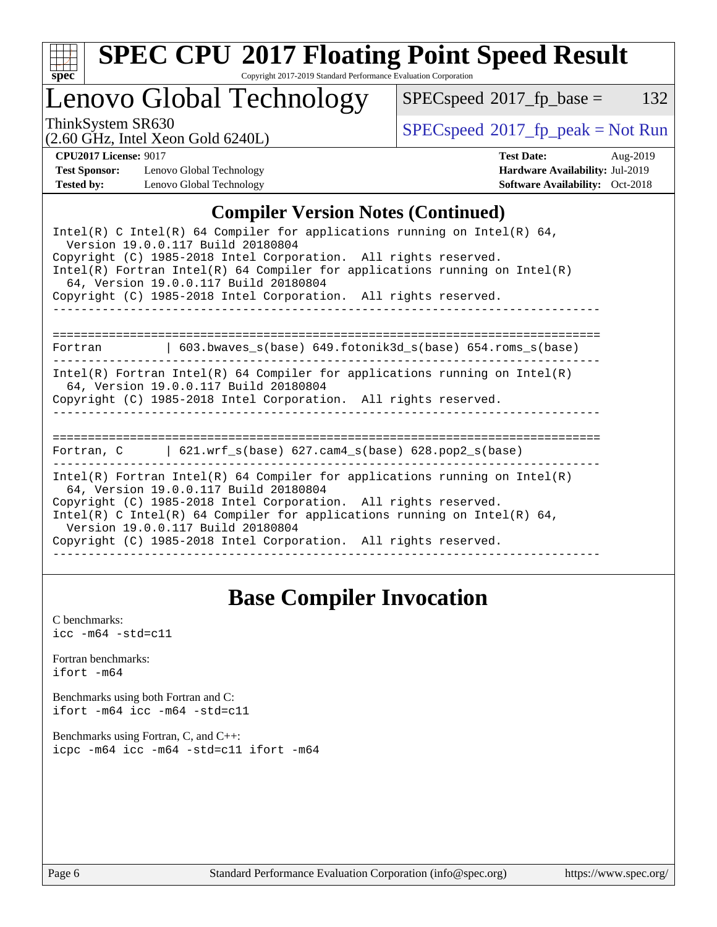

# **[SPEC CPU](http://www.spec.org/auto/cpu2017/Docs/result-fields.html#SPECCPU2017FloatingPointSpeedResult)[2017 Floating Point Speed Result](http://www.spec.org/auto/cpu2017/Docs/result-fields.html#SPECCPU2017FloatingPointSpeedResult)**

Copyright 2017-2019 Standard Performance Evaluation Corporation

Lenovo Global Technology

 $SPECspeed^{\circ}2017_fp\_base = 132$  $SPECspeed^{\circ}2017_fp\_base = 132$ 

(2.60 GHz, Intel Xeon Gold 6240L)

ThinkSystem SR630<br>  $(2.60 \text{ GHz. Intel Yoon Gold } 62401)$  [SPECspeed](http://www.spec.org/auto/cpu2017/Docs/result-fields.html#SPECspeed2017fppeak)<sup>®</sup>[2017\\_fp\\_peak = N](http://www.spec.org/auto/cpu2017/Docs/result-fields.html#SPECspeed2017fppeak)ot Run

**[Test Sponsor:](http://www.spec.org/auto/cpu2017/Docs/result-fields.html#TestSponsor)** Lenovo Global Technology **[Hardware Availability:](http://www.spec.org/auto/cpu2017/Docs/result-fields.html#HardwareAvailability)** Jul-2019 **[Tested by:](http://www.spec.org/auto/cpu2017/Docs/result-fields.html#Testedby)** Lenovo Global Technology **[Software Availability:](http://www.spec.org/auto/cpu2017/Docs/result-fields.html#SoftwareAvailability)** Oct-2018

**[CPU2017 License:](http://www.spec.org/auto/cpu2017/Docs/result-fields.html#CPU2017License)** 9017 **[Test Date:](http://www.spec.org/auto/cpu2017/Docs/result-fields.html#TestDate)** Aug-2019

#### **[Compiler Version Notes \(Continued\)](http://www.spec.org/auto/cpu2017/Docs/result-fields.html#CompilerVersionNotes)**

| Intel(R) C Intel(R) 64 Compiler for applications running on Intel(R) 64,<br>Version 19.0.0.117 Build 20180804<br>Copyright (C) 1985-2018 Intel Corporation. All rights reserved.<br>$Intel(R)$ Fortran Intel(R) 64 Compiler for applications running on Intel(R)<br>64, Version 19.0.0.117 Build 20180804<br>Copyright (C) 1985-2018 Intel Corporation. All rights reserved. |
|------------------------------------------------------------------------------------------------------------------------------------------------------------------------------------------------------------------------------------------------------------------------------------------------------------------------------------------------------------------------------|
| Fortran $\qquad \qquad$ 603.bwaves s(base) 649.fotonik3d s(base) 654.roms s(base)                                                                                                                                                                                                                                                                                            |
| $Intel(R)$ Fortran Intel(R) 64 Compiler for applications running on Intel(R)<br>64, Version 19.0.0.117 Build 20180804<br>Copyright (C) 1985-2018 Intel Corporation. All rights reserved.                                                                                                                                                                                     |
| Fortran, $C = \{621. \text{wrf s}(\text{base}) \}$ 627. cam4 s(base) 628. pop2 s(base)                                                                                                                                                                                                                                                                                       |
| Intel(R) Fortran Intel(R) 64 Compiler for applications running on Intel(R)<br>64, Version 19.0.0.117 Build 20180804<br>Copyright (C) 1985-2018 Intel Corporation. All rights reserved.<br>Intel(R) C Intel(R) 64 Compiler for applications running on Intel(R) 64,<br>Version 19.0.0.117 Build 20180804<br>Copyright (C) 1985-2018 Intel Corporation. All rights reserved.   |

## **[Base Compiler Invocation](http://www.spec.org/auto/cpu2017/Docs/result-fields.html#BaseCompilerInvocation)**

[C benchmarks](http://www.spec.org/auto/cpu2017/Docs/result-fields.html#Cbenchmarks):  $\text{icc}$  -m64 -std=c11 [Fortran benchmarks](http://www.spec.org/auto/cpu2017/Docs/result-fields.html#Fortranbenchmarks): [ifort -m64](http://www.spec.org/cpu2017/results/res2019q3/cpu2017-20190819-17089.flags.html#user_FCbase_intel_ifort_64bit_24f2bb282fbaeffd6157abe4f878425411749daecae9a33200eee2bee2fe76f3b89351d69a8130dd5949958ce389cf37ff59a95e7a40d588e8d3a57e0c3fd751) [Benchmarks using both Fortran and C](http://www.spec.org/auto/cpu2017/Docs/result-fields.html#BenchmarksusingbothFortranandC): [ifort -m64](http://www.spec.org/cpu2017/results/res2019q3/cpu2017-20190819-17089.flags.html#user_CC_FCbase_intel_ifort_64bit_24f2bb282fbaeffd6157abe4f878425411749daecae9a33200eee2bee2fe76f3b89351d69a8130dd5949958ce389cf37ff59a95e7a40d588e8d3a57e0c3fd751) [icc -m64 -std=c11](http://www.spec.org/cpu2017/results/res2019q3/cpu2017-20190819-17089.flags.html#user_CC_FCbase_intel_icc_64bit_c11_33ee0cdaae7deeeab2a9725423ba97205ce30f63b9926c2519791662299b76a0318f32ddfffdc46587804de3178b4f9328c46fa7c2b0cd779d7a61945c91cd35) [Benchmarks using Fortran, C, and C++:](http://www.spec.org/auto/cpu2017/Docs/result-fields.html#BenchmarksusingFortranCandCXX) [icpc -m64](http://www.spec.org/cpu2017/results/res2019q3/cpu2017-20190819-17089.flags.html#user_CC_CXX_FCbase_intel_icpc_64bit_4ecb2543ae3f1412ef961e0650ca070fec7b7afdcd6ed48761b84423119d1bf6bdf5cad15b44d48e7256388bc77273b966e5eb805aefd121eb22e9299b2ec9d9) [icc -m64 -std=c11](http://www.spec.org/cpu2017/results/res2019q3/cpu2017-20190819-17089.flags.html#user_CC_CXX_FCbase_intel_icc_64bit_c11_33ee0cdaae7deeeab2a9725423ba97205ce30f63b9926c2519791662299b76a0318f32ddfffdc46587804de3178b4f9328c46fa7c2b0cd779d7a61945c91cd35) [ifort -m64](http://www.spec.org/cpu2017/results/res2019q3/cpu2017-20190819-17089.flags.html#user_CC_CXX_FCbase_intel_ifort_64bit_24f2bb282fbaeffd6157abe4f878425411749daecae9a33200eee2bee2fe76f3b89351d69a8130dd5949958ce389cf37ff59a95e7a40d588e8d3a57e0c3fd751)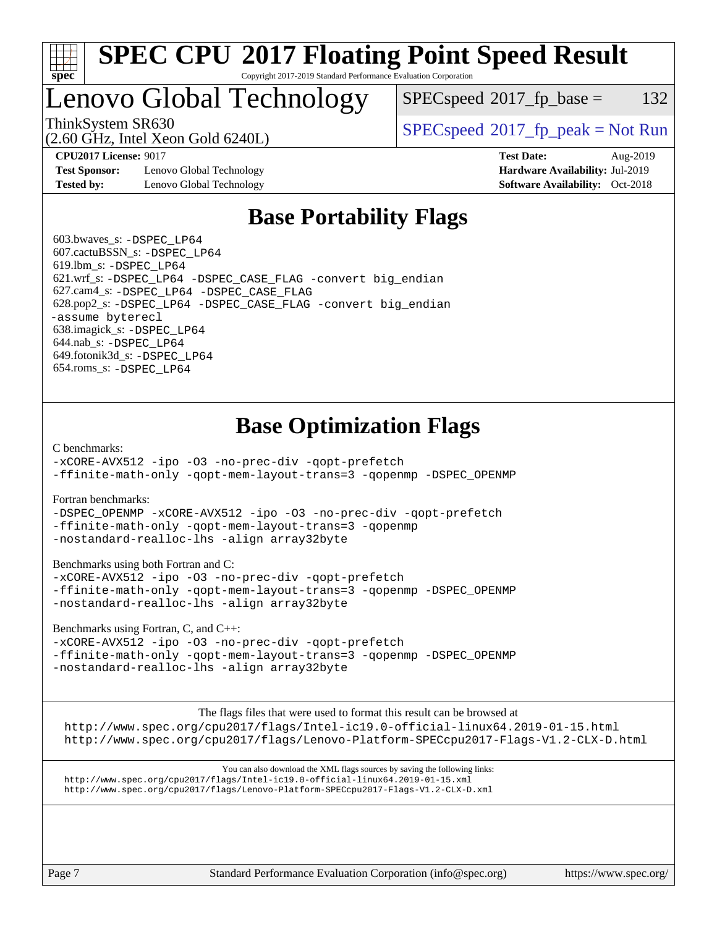

#### **[SPEC CPU](http://www.spec.org/auto/cpu2017/Docs/result-fields.html#SPECCPU2017FloatingPointSpeedResult)[2017 Floating Point Speed Result](http://www.spec.org/auto/cpu2017/Docs/result-fields.html#SPECCPU2017FloatingPointSpeedResult)** Copyright 2017-2019 Standard Performance Evaluation Corporation

## Lenovo Global Technology

 $SPEC speed^{\circ}2017\_fp\_base = 132$ 

(2.60 GHz, Intel Xeon Gold 6240L)

ThinkSystem SR630<br>  $SPECspeed*2017_fp\_peak = Not Run$  $SPECspeed*2017_fp\_peak = Not Run$ 

**[Test Sponsor:](http://www.spec.org/auto/cpu2017/Docs/result-fields.html#TestSponsor)** Lenovo Global Technology **[Hardware Availability:](http://www.spec.org/auto/cpu2017/Docs/result-fields.html#HardwareAvailability)** Jul-2019 **[Tested by:](http://www.spec.org/auto/cpu2017/Docs/result-fields.html#Testedby)** Lenovo Global Technology **[Software Availability:](http://www.spec.org/auto/cpu2017/Docs/result-fields.html#SoftwareAvailability)** Oct-2018

**[CPU2017 License:](http://www.spec.org/auto/cpu2017/Docs/result-fields.html#CPU2017License)** 9017 **[Test Date:](http://www.spec.org/auto/cpu2017/Docs/result-fields.html#TestDate)** Aug-2019

## **[Base Portability Flags](http://www.spec.org/auto/cpu2017/Docs/result-fields.html#BasePortabilityFlags)**

 603.bwaves\_s: [-DSPEC\\_LP64](http://www.spec.org/cpu2017/results/res2019q3/cpu2017-20190819-17089.flags.html#suite_basePORTABILITY603_bwaves_s_DSPEC_LP64) 607.cactuBSSN\_s: [-DSPEC\\_LP64](http://www.spec.org/cpu2017/results/res2019q3/cpu2017-20190819-17089.flags.html#suite_basePORTABILITY607_cactuBSSN_s_DSPEC_LP64) 619.lbm\_s: [-DSPEC\\_LP64](http://www.spec.org/cpu2017/results/res2019q3/cpu2017-20190819-17089.flags.html#suite_basePORTABILITY619_lbm_s_DSPEC_LP64) 621.wrf\_s: [-DSPEC\\_LP64](http://www.spec.org/cpu2017/results/res2019q3/cpu2017-20190819-17089.flags.html#suite_basePORTABILITY621_wrf_s_DSPEC_LP64) [-DSPEC\\_CASE\\_FLAG](http://www.spec.org/cpu2017/results/res2019q3/cpu2017-20190819-17089.flags.html#b621.wrf_s_baseCPORTABILITY_DSPEC_CASE_FLAG) [-convert big\\_endian](http://www.spec.org/cpu2017/results/res2019q3/cpu2017-20190819-17089.flags.html#user_baseFPORTABILITY621_wrf_s_convert_big_endian_c3194028bc08c63ac5d04de18c48ce6d347e4e562e8892b8bdbdc0214820426deb8554edfa529a3fb25a586e65a3d812c835984020483e7e73212c4d31a38223) 627.cam4\_s: [-DSPEC\\_LP64](http://www.spec.org/cpu2017/results/res2019q3/cpu2017-20190819-17089.flags.html#suite_basePORTABILITY627_cam4_s_DSPEC_LP64) [-DSPEC\\_CASE\\_FLAG](http://www.spec.org/cpu2017/results/res2019q3/cpu2017-20190819-17089.flags.html#b627.cam4_s_baseCPORTABILITY_DSPEC_CASE_FLAG) 628.pop2\_s: [-DSPEC\\_LP64](http://www.spec.org/cpu2017/results/res2019q3/cpu2017-20190819-17089.flags.html#suite_basePORTABILITY628_pop2_s_DSPEC_LP64) [-DSPEC\\_CASE\\_FLAG](http://www.spec.org/cpu2017/results/res2019q3/cpu2017-20190819-17089.flags.html#b628.pop2_s_baseCPORTABILITY_DSPEC_CASE_FLAG) [-convert big\\_endian](http://www.spec.org/cpu2017/results/res2019q3/cpu2017-20190819-17089.flags.html#user_baseFPORTABILITY628_pop2_s_convert_big_endian_c3194028bc08c63ac5d04de18c48ce6d347e4e562e8892b8bdbdc0214820426deb8554edfa529a3fb25a586e65a3d812c835984020483e7e73212c4d31a38223) [-assume byterecl](http://www.spec.org/cpu2017/results/res2019q3/cpu2017-20190819-17089.flags.html#user_baseFPORTABILITY628_pop2_s_assume_byterecl_7e47d18b9513cf18525430bbf0f2177aa9bf368bc7a059c09b2c06a34b53bd3447c950d3f8d6c70e3faf3a05c8557d66a5798b567902e8849adc142926523472) 638.imagick\_s: [-DSPEC\\_LP64](http://www.spec.org/cpu2017/results/res2019q3/cpu2017-20190819-17089.flags.html#suite_basePORTABILITY638_imagick_s_DSPEC_LP64) 644.nab\_s: [-DSPEC\\_LP64](http://www.spec.org/cpu2017/results/res2019q3/cpu2017-20190819-17089.flags.html#suite_basePORTABILITY644_nab_s_DSPEC_LP64) 649.fotonik3d\_s: [-DSPEC\\_LP64](http://www.spec.org/cpu2017/results/res2019q3/cpu2017-20190819-17089.flags.html#suite_basePORTABILITY649_fotonik3d_s_DSPEC_LP64) 654.roms\_s: [-DSPEC\\_LP64](http://www.spec.org/cpu2017/results/res2019q3/cpu2017-20190819-17089.flags.html#suite_basePORTABILITY654_roms_s_DSPEC_LP64)

## **[Base Optimization Flags](http://www.spec.org/auto/cpu2017/Docs/result-fields.html#BaseOptimizationFlags)**

[C benchmarks](http://www.spec.org/auto/cpu2017/Docs/result-fields.html#Cbenchmarks):

[-xCORE-AVX512](http://www.spec.org/cpu2017/results/res2019q3/cpu2017-20190819-17089.flags.html#user_CCbase_f-xCORE-AVX512) [-ipo](http://www.spec.org/cpu2017/results/res2019q3/cpu2017-20190819-17089.flags.html#user_CCbase_f-ipo) [-O3](http://www.spec.org/cpu2017/results/res2019q3/cpu2017-20190819-17089.flags.html#user_CCbase_f-O3) [-no-prec-div](http://www.spec.org/cpu2017/results/res2019q3/cpu2017-20190819-17089.flags.html#user_CCbase_f-no-prec-div) [-qopt-prefetch](http://www.spec.org/cpu2017/results/res2019q3/cpu2017-20190819-17089.flags.html#user_CCbase_f-qopt-prefetch) [-ffinite-math-only](http://www.spec.org/cpu2017/results/res2019q3/cpu2017-20190819-17089.flags.html#user_CCbase_f_finite_math_only_cb91587bd2077682c4b38af759c288ed7c732db004271a9512da14a4f8007909a5f1427ecbf1a0fb78ff2a814402c6114ac565ca162485bbcae155b5e4258871) [-qopt-mem-layout-trans=3](http://www.spec.org/cpu2017/results/res2019q3/cpu2017-20190819-17089.flags.html#user_CCbase_f-qopt-mem-layout-trans_de80db37974c74b1f0e20d883f0b675c88c3b01e9d123adea9b28688d64333345fb62bc4a798493513fdb68f60282f9a726aa07f478b2f7113531aecce732043) [-qopenmp](http://www.spec.org/cpu2017/results/res2019q3/cpu2017-20190819-17089.flags.html#user_CCbase_qopenmp_16be0c44f24f464004c6784a7acb94aca937f053568ce72f94b139a11c7c168634a55f6653758ddd83bcf7b8463e8028bb0b48b77bcddc6b78d5d95bb1df2967) [-DSPEC\\_OPENMP](http://www.spec.org/cpu2017/results/res2019q3/cpu2017-20190819-17089.flags.html#suite_CCbase_DSPEC_OPENMP)

[Fortran benchmarks](http://www.spec.org/auto/cpu2017/Docs/result-fields.html#Fortranbenchmarks):

[-DSPEC\\_OPENMP](http://www.spec.org/cpu2017/results/res2019q3/cpu2017-20190819-17089.flags.html#suite_FCbase_DSPEC_OPENMP) [-xCORE-AVX512](http://www.spec.org/cpu2017/results/res2019q3/cpu2017-20190819-17089.flags.html#user_FCbase_f-xCORE-AVX512) [-ipo](http://www.spec.org/cpu2017/results/res2019q3/cpu2017-20190819-17089.flags.html#user_FCbase_f-ipo) [-O3](http://www.spec.org/cpu2017/results/res2019q3/cpu2017-20190819-17089.flags.html#user_FCbase_f-O3) [-no-prec-div](http://www.spec.org/cpu2017/results/res2019q3/cpu2017-20190819-17089.flags.html#user_FCbase_f-no-prec-div) [-qopt-prefetch](http://www.spec.org/cpu2017/results/res2019q3/cpu2017-20190819-17089.flags.html#user_FCbase_f-qopt-prefetch) [-ffinite-math-only](http://www.spec.org/cpu2017/results/res2019q3/cpu2017-20190819-17089.flags.html#user_FCbase_f_finite_math_only_cb91587bd2077682c4b38af759c288ed7c732db004271a9512da14a4f8007909a5f1427ecbf1a0fb78ff2a814402c6114ac565ca162485bbcae155b5e4258871) [-qopt-mem-layout-trans=3](http://www.spec.org/cpu2017/results/res2019q3/cpu2017-20190819-17089.flags.html#user_FCbase_f-qopt-mem-layout-trans_de80db37974c74b1f0e20d883f0b675c88c3b01e9d123adea9b28688d64333345fb62bc4a798493513fdb68f60282f9a726aa07f478b2f7113531aecce732043) [-qopenmp](http://www.spec.org/cpu2017/results/res2019q3/cpu2017-20190819-17089.flags.html#user_FCbase_qopenmp_16be0c44f24f464004c6784a7acb94aca937f053568ce72f94b139a11c7c168634a55f6653758ddd83bcf7b8463e8028bb0b48b77bcddc6b78d5d95bb1df2967) [-nostandard-realloc-lhs](http://www.spec.org/cpu2017/results/res2019q3/cpu2017-20190819-17089.flags.html#user_FCbase_f_2003_std_realloc_82b4557e90729c0f113870c07e44d33d6f5a304b4f63d4c15d2d0f1fab99f5daaed73bdb9275d9ae411527f28b936061aa8b9c8f2d63842963b95c9dd6426b8a) [-align array32byte](http://www.spec.org/cpu2017/results/res2019q3/cpu2017-20190819-17089.flags.html#user_FCbase_align_array32byte_b982fe038af199962ba9a80c053b8342c548c85b40b8e86eb3cc33dee0d7986a4af373ac2d51c3f7cf710a18d62fdce2948f201cd044323541f22fc0fffc51b6)

[Benchmarks using both Fortran and C](http://www.spec.org/auto/cpu2017/Docs/result-fields.html#BenchmarksusingbothFortranandC):

[-xCORE-AVX512](http://www.spec.org/cpu2017/results/res2019q3/cpu2017-20190819-17089.flags.html#user_CC_FCbase_f-xCORE-AVX512) [-ipo](http://www.spec.org/cpu2017/results/res2019q3/cpu2017-20190819-17089.flags.html#user_CC_FCbase_f-ipo) [-O3](http://www.spec.org/cpu2017/results/res2019q3/cpu2017-20190819-17089.flags.html#user_CC_FCbase_f-O3) [-no-prec-div](http://www.spec.org/cpu2017/results/res2019q3/cpu2017-20190819-17089.flags.html#user_CC_FCbase_f-no-prec-div) [-qopt-prefetch](http://www.spec.org/cpu2017/results/res2019q3/cpu2017-20190819-17089.flags.html#user_CC_FCbase_f-qopt-prefetch) [-ffinite-math-only](http://www.spec.org/cpu2017/results/res2019q3/cpu2017-20190819-17089.flags.html#user_CC_FCbase_f_finite_math_only_cb91587bd2077682c4b38af759c288ed7c732db004271a9512da14a4f8007909a5f1427ecbf1a0fb78ff2a814402c6114ac565ca162485bbcae155b5e4258871) [-qopt-mem-layout-trans=3](http://www.spec.org/cpu2017/results/res2019q3/cpu2017-20190819-17089.flags.html#user_CC_FCbase_f-qopt-mem-layout-trans_de80db37974c74b1f0e20d883f0b675c88c3b01e9d123adea9b28688d64333345fb62bc4a798493513fdb68f60282f9a726aa07f478b2f7113531aecce732043) [-qopenmp](http://www.spec.org/cpu2017/results/res2019q3/cpu2017-20190819-17089.flags.html#user_CC_FCbase_qopenmp_16be0c44f24f464004c6784a7acb94aca937f053568ce72f94b139a11c7c168634a55f6653758ddd83bcf7b8463e8028bb0b48b77bcddc6b78d5d95bb1df2967) [-DSPEC\\_OPENMP](http://www.spec.org/cpu2017/results/res2019q3/cpu2017-20190819-17089.flags.html#suite_CC_FCbase_DSPEC_OPENMP) [-nostandard-realloc-lhs](http://www.spec.org/cpu2017/results/res2019q3/cpu2017-20190819-17089.flags.html#user_CC_FCbase_f_2003_std_realloc_82b4557e90729c0f113870c07e44d33d6f5a304b4f63d4c15d2d0f1fab99f5daaed73bdb9275d9ae411527f28b936061aa8b9c8f2d63842963b95c9dd6426b8a) [-align array32byte](http://www.spec.org/cpu2017/results/res2019q3/cpu2017-20190819-17089.flags.html#user_CC_FCbase_align_array32byte_b982fe038af199962ba9a80c053b8342c548c85b40b8e86eb3cc33dee0d7986a4af373ac2d51c3f7cf710a18d62fdce2948f201cd044323541f22fc0fffc51b6)

[Benchmarks using Fortran, C, and C++:](http://www.spec.org/auto/cpu2017/Docs/result-fields.html#BenchmarksusingFortranCandCXX)

[-xCORE-AVX512](http://www.spec.org/cpu2017/results/res2019q3/cpu2017-20190819-17089.flags.html#user_CC_CXX_FCbase_f-xCORE-AVX512) [-ipo](http://www.spec.org/cpu2017/results/res2019q3/cpu2017-20190819-17089.flags.html#user_CC_CXX_FCbase_f-ipo) [-O3](http://www.spec.org/cpu2017/results/res2019q3/cpu2017-20190819-17089.flags.html#user_CC_CXX_FCbase_f-O3) [-no-prec-div](http://www.spec.org/cpu2017/results/res2019q3/cpu2017-20190819-17089.flags.html#user_CC_CXX_FCbase_f-no-prec-div) [-qopt-prefetch](http://www.spec.org/cpu2017/results/res2019q3/cpu2017-20190819-17089.flags.html#user_CC_CXX_FCbase_f-qopt-prefetch) [-ffinite-math-only](http://www.spec.org/cpu2017/results/res2019q3/cpu2017-20190819-17089.flags.html#user_CC_CXX_FCbase_f_finite_math_only_cb91587bd2077682c4b38af759c288ed7c732db004271a9512da14a4f8007909a5f1427ecbf1a0fb78ff2a814402c6114ac565ca162485bbcae155b5e4258871) [-qopt-mem-layout-trans=3](http://www.spec.org/cpu2017/results/res2019q3/cpu2017-20190819-17089.flags.html#user_CC_CXX_FCbase_f-qopt-mem-layout-trans_de80db37974c74b1f0e20d883f0b675c88c3b01e9d123adea9b28688d64333345fb62bc4a798493513fdb68f60282f9a726aa07f478b2f7113531aecce732043) [-qopenmp](http://www.spec.org/cpu2017/results/res2019q3/cpu2017-20190819-17089.flags.html#user_CC_CXX_FCbase_qopenmp_16be0c44f24f464004c6784a7acb94aca937f053568ce72f94b139a11c7c168634a55f6653758ddd83bcf7b8463e8028bb0b48b77bcddc6b78d5d95bb1df2967) [-DSPEC\\_OPENMP](http://www.spec.org/cpu2017/results/res2019q3/cpu2017-20190819-17089.flags.html#suite_CC_CXX_FCbase_DSPEC_OPENMP) [-nostandard-realloc-lhs](http://www.spec.org/cpu2017/results/res2019q3/cpu2017-20190819-17089.flags.html#user_CC_CXX_FCbase_f_2003_std_realloc_82b4557e90729c0f113870c07e44d33d6f5a304b4f63d4c15d2d0f1fab99f5daaed73bdb9275d9ae411527f28b936061aa8b9c8f2d63842963b95c9dd6426b8a) [-align array32byte](http://www.spec.org/cpu2017/results/res2019q3/cpu2017-20190819-17089.flags.html#user_CC_CXX_FCbase_align_array32byte_b982fe038af199962ba9a80c053b8342c548c85b40b8e86eb3cc33dee0d7986a4af373ac2d51c3f7cf710a18d62fdce2948f201cd044323541f22fc0fffc51b6)

[The flags files that were used to format this result can be browsed at](tmsearch)

<http://www.spec.org/cpu2017/flags/Intel-ic19.0-official-linux64.2019-01-15.html> <http://www.spec.org/cpu2017/flags/Lenovo-Platform-SPECcpu2017-Flags-V1.2-CLX-D.html>

[You can also download the XML flags sources by saving the following links:](tmsearch) <http://www.spec.org/cpu2017/flags/Intel-ic19.0-official-linux64.2019-01-15.xml> <http://www.spec.org/cpu2017/flags/Lenovo-Platform-SPECcpu2017-Flags-V1.2-CLX-D.xml>